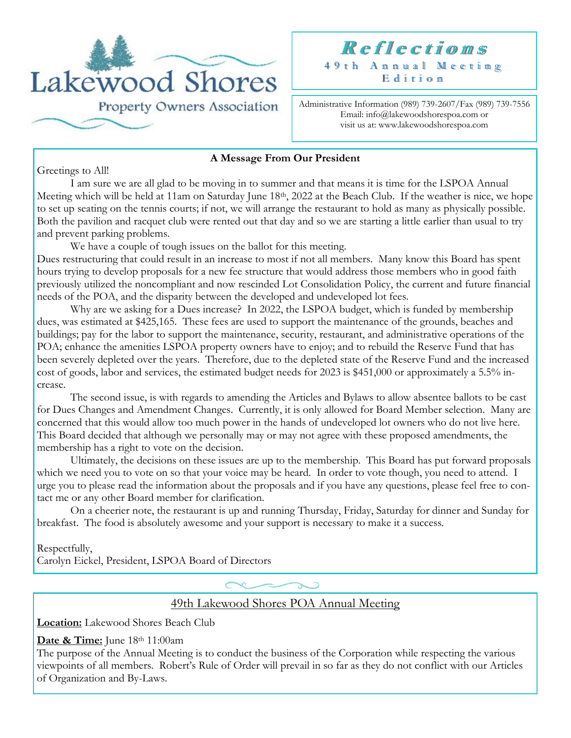



Administrative Information (989) 739-2607/Fax (989) 739-7556 Email: info@lakewoodshorespoa.com or visit us at: www.lakewoodshorespoa.com

#### **A Message From Our President**

Greetings to All!

I am sure we are all glad to be moving in to summer and that means it is time for the LSPOA Annual Meeting which will be held at 11am on Saturday June 18<sup>th</sup>, 2022 at the Beach Club. If the weather is nice, we hope to set up seating on the tennis courts; if not, we will arrange the restaurant to hold as many as physically possible. Both the pavilion and racquet club were rented out that day and so we are starting a little earlier than usual to try and prevent parking problems.

We have a couple of tough issues on the ballot for this meeting.

Dues restructuring that could result in an increase to most if not all members. Many know this Board has spent hours trying to develop proposals for a new fee structure that would address those members who in good faith previously utilized the noncompliant and now rescinded Lot Consolidation Policy, the current and future financial needs of the POA, and the disparity between the developed and undeveloped lot fees.

Why are we asking for a Dues increase? In 2022, the LSPOA budget, which is funded by membership dues, was estimated at \$425,165. These fees are used to support the maintenance of the grounds, beaches and buildings; pay for the labor to support the maintenance, security, restaurant, and administrative operations of the POA; enhance the amenities LSPOA property owners have to enjoy; and to rebuild the Reserve Fund that has been severely depleted over the years. Therefore, due to the depleted state of the Reserve Fund and the increased cost of goods, labor and services, the estimated budget needs for 2023 is \$451,000 or approximately a 5.5% increase.

The second issue, is with regards to amending the Articles and Bylaws to allow absentee ballots to be cast for Dues Changes and Amendment Changes. Currently, it is only allowed for Board Member selection. Many are concerned that this would allow too much power in the hands of undeveloped lot owners who do not live here. This Board decided that although we personally may or may not agree with these proposed amendments, the membership has a right to vote on the decision.

Ultimately, the decisions on these issues are up to the membership. This Board has put forward proposals which we need you to vote on so that your voice may be heard. In order to vote though, you need to attend. I urge you to please read the information about the proposals and if you have any questions, please feel free to contact me or any other Board member for clarification.

On a cheerier note, the restaurant is up and running Thursday, Friday, Saturday for dinner and Sunday for breakfast. The food is absolutely awesome and your support is necessary to make it a success.

Respectfully, Carolyn Eickel, President, LSPOA Board of Directors

49th Lakewood Shores POA Annual Meeting

**Location:** Lakewood Shores Beach Club

Date & Time: June 18th 11:00am

The purpose of the Annual Meeting is to conduct the business of the Corporation while respecting the various viewpoints of all members. Robert's Rule of Order will prevail in so far as they do not conflict with our Articles of Organization and By-Laws.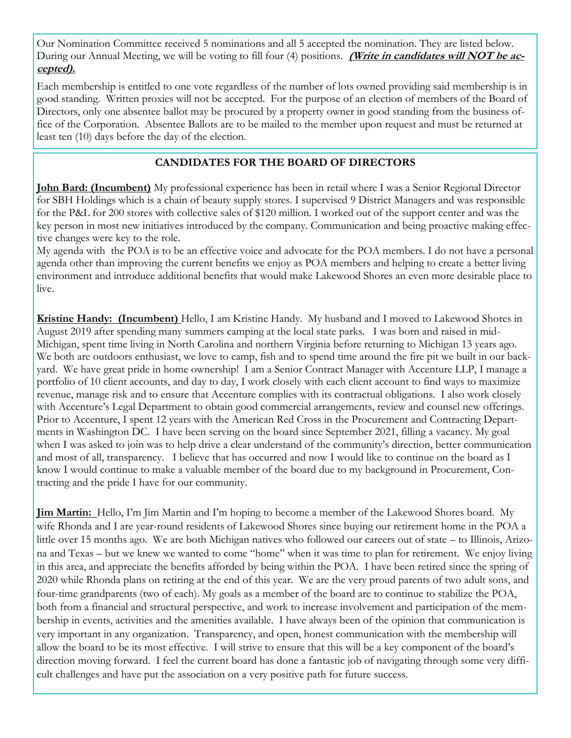Our Nomination Committee received 5 nominations and all 5 accepted the nomination. They are listed below. During our Annual Meeting, we will be voting to fill four (4) positions. **(Write in candidates will NOT be accepted).**

Each membership is entitled to one vote regardless of the number of lots owned providing said membership is in good standing. Written proxies will not be accepted. For the purpose of an election of members of the Board of Directors, only one absentee ballot may be procured by a property owner in good standing from the business office of the Corporation. Absentee Ballots are to be mailed to the member upon request and must be returned at least ten (10) days before the day of the election.

#### **CANDIDATES FOR THE BOARD OF DIRECTORS**

**John Bard: (Incumbent)** My professional experience has been in retail where I was a Senior Regional Director for SBH Holdings which is a chain of beauty supply stores. I supervised 9 District Managers and was responsible for the P&L for 200 stores with collective sales of \$120 million. I worked out of the support center and was the key person in most new initiatives introduced by the company. Communication and being proactive making effective changes were key to the role.

My agenda with the POA is to be an effective voice and advocate for the POA members. I do not have a personal agenda other than improving the current benefits we enjoy as POA members and helping to create a better living environment and introduce additional benefits that would make Lakewood Shores an even more desirable place to live.

**Kristine Handy: (Incumbent)** Hello, I am Kristine Handy. My husband and I moved to Lakewood Shores in August 2019 after spending many summers camping at the local state parks. I was born and raised in mid-Michigan, spent time living in North Carolina and northern Virginia before returning to Michigan 13 years ago. We both are outdoors enthusiast, we love to camp, fish and to spend time around the fire pit we built in our backyard. We have great pride in home ownership! I am a Senior Contract Manager with Accenture LLP, I manage a portfolio of 10 client accounts, and day to day, I work closely with each client account to find ways to maximize revenue, manage risk and to ensure that Accenture complies with its contractual obligations. I also work closely with Accenture's Legal Department to obtain good commercial arrangements, review and counsel new offerings. Prior to Accenture, I spent 12 years with the American Red Cross in the Procurement and Contracting Departments in Washington DC. I have been serving on the board since September 2021, filling a vacancy. My goal when I was asked to join was to help drive a clear understand of the community's direction, better communication and most of all, transparency. I believe that has occurred and now I would like to continue on the board as I know I would continue to make a valuable member of the board due to my background in Procurement, Contracting and the pride I have for our community.

**Jim Martin:** Hello, I'm Jim Martin and I'm hoping to become a member of the Lakewood Shores board. My wife Rhonda and I are year-round residents of Lakewood Shores since buying our retirement home in the POA a little over 15 months ago. We are both Michigan natives who followed our careers out of state – to Illinois, Arizona and Texas – but we knew we wanted to come "home" when it was time to plan for retirement. We enjoy living in this area, and appreciate the benefits afforded by being within the POA. I have been retired since the spring of 2020 while Rhonda plans on retiring at the end of this year. We are the very proud parents of two adult sons, and four-time grandparents (two of each). My goals as a member of the board are to continue to stabilize the POA, both from a financial and structural perspective, and work to increase involvement and participation of the membership in events, activities and the amenities available. I have always been of the opinion that communication is very important in any organization. Transparency, and open, honest communication with the membership will allow the board to be its most effective. I will strive to ensure that this will be a key component of the board's direction moving forward. I feel the current board has done a fantastic job of navigating through some very difficult challenges and have put the association on a very positive path for future success.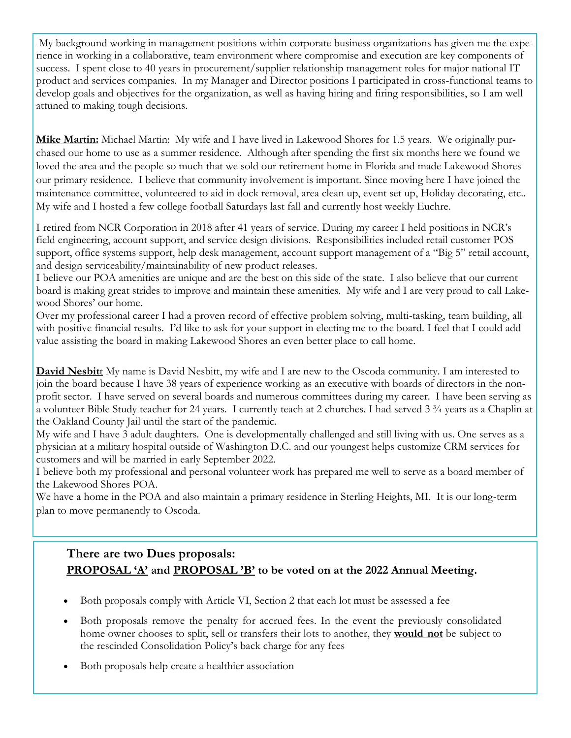My background working in management positions within corporate business organizations has given me the experience in working in a collaborative, team environment where compromise and execution are key components of success. I spent close to 40 years in procurement/supplier relationship management roles for major national IT product and services companies. In my Manager and Director positions I participated in cross-functional teams to develop goals and objectives for the organization, as well as having hiring and firing responsibilities, so I am well attuned to making tough decisions.

**Mike Martin:** Michael Martin: My wife and I have lived in Lakewood Shores for 1.5 years. We originally purchased our home to use as a summer residence. Although after spending the first six months here we found we loved the area and the people so much that we sold our retirement home in Florida and made Lakewood Shores our primary residence. I believe that community involvement is important. Since moving here I have joined the maintenance committee, volunteered to aid in dock removal, area clean up, event set up, Holiday decorating, etc.. My wife and I hosted a few college football Saturdays last fall and currently host weekly Euchre.

I retired from NCR Corporation in 2018 after 41 years of service. During my career I held positions in NCR's field engineering, account support, and service design divisions. Responsibilities included retail customer POS support, office systems support, help desk management, account support management of a "Big 5" retail account, and design serviceability/maintainability of new product releases.

I believe our POA amenities are unique and are the best on this side of the state. I also believe that our current board is making great strides to improve and maintain these amenities. My wife and I are very proud to call Lakewood Shores' our home.

Over my professional career I had a proven record of effective problem solving, multi-tasking, team building, all with positive financial results. I'd like to ask for your support in electing me to the board. I feel that I could add value assisting the board in making Lakewood Shores an even better place to call home.

**David Nesbit**t My name is David Nesbitt, my wife and I are new to the Oscoda community. I am interested to join the board because I have 38 years of experience working as an executive with boards of directors in the nonprofit sector. I have served on several boards and numerous committees during my career. I have been serving as a volunteer Bible Study teacher for 24 years. I currently teach at 2 churches. I had served 3 ¾ years as a Chaplin at the Oakland County Jail until the start of the pandemic.

My wife and I have 3 adult daughters. One is developmentally challenged and still living with us. One serves as a physician at a military hospital outside of Washington D.C. and our youngest helps customize CRM services for customers and will be married in early September 2022.

I believe both my professional and personal volunteer work has prepared me well to serve as a board member of the Lakewood Shores POA.

We have a home in the POA and also maintain a primary residence in Sterling Heights, MI. It is our long-term plan to move permanently to Oscoda.

## **There are two Dues proposals: PROPOSAL 'A' and PROPOSAL 'B' to be voted on at the 2022 Annual Meeting.**

- Both proposals comply with Article VI, Section 2 that each lot must be assessed a fee
- Both proposals remove the penalty for accrued fees. In the event the previously consolidated home owner chooses to split, sell or transfers their lots to another, they **would not** be subject to the rescinded Consolidation Policy's back charge for any fees
- Both proposals help create a healthier association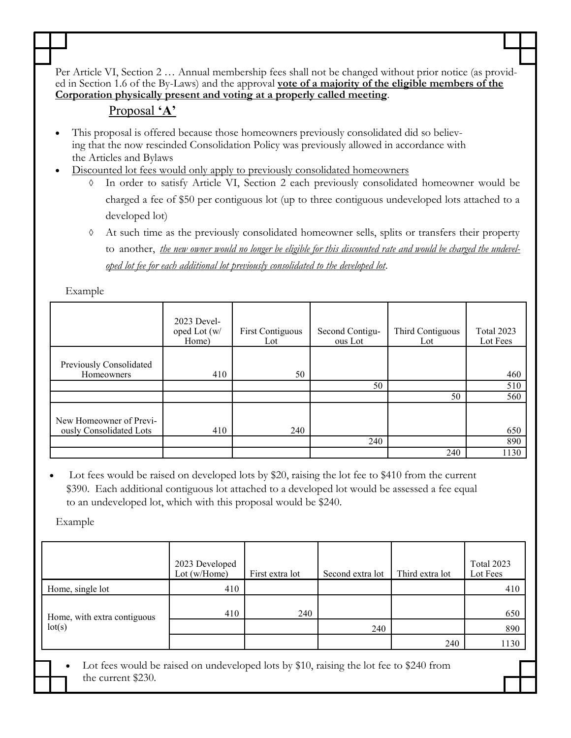Per Article VI, Section 2 … Annual membership fees shall not be changed without prior notice (as provided in Section 1.6 of the By-Laws) and the approval **vote of a majority of the eligible members of the Corporation physically present and voting at a properly called meeting**.

## Proposal **'A'**

- This proposal is offered because those homeowners previously consolidated did so believing that the now rescinded Consolidation Policy was previously allowed in accordance with the Articles and Bylaws
- Discounted lot fees would only apply to previously consolidated homeowners
	- In order to satisfy Article VI, Section 2 each previously consolidated homeowner would be charged a fee of \$50 per contiguous lot (up to three contiguous undeveloped lots attached to a developed lot)
	- At such time as the previously consolidated homeowner sells, splits or transfers their property to another, *the new owner would no longer be eligible for this discounted rate and would be charged the undeveloped lot fee for each additional lot previously consolidated to the developed lot*.

Example

|                                                    | 2023 Devel-<br>oped Lot (w/<br>Home) | <b>First Contiguous</b><br>Lot | Second Contigu-<br>ous Lot | Third Contiguous<br>Lot | Total 2023<br>Lot Fees |
|----------------------------------------------------|--------------------------------------|--------------------------------|----------------------------|-------------------------|------------------------|
| Previously Consolidated<br>Homeowners              | 410                                  | 50                             |                            |                         | 460                    |
|                                                    |                                      |                                | 50                         | 50                      | 510<br>560             |
| New Homeowner of Previ-<br>ously Consolidated Lots | 410                                  | 240                            |                            |                         | 650                    |
|                                                    |                                      |                                | 240                        |                         | 890                    |
|                                                    |                                      |                                |                            | 240                     | 1130                   |

Lot fees would be raised on developed lots by \$20, raising the lot fee to \$410 from the current \$390. Each additional contiguous lot attached to a developed lot would be assessed a fee equal to an undeveloped lot, which with this proposal would be \$240.

Example

|                                       | 2023 Developed<br>Lot $(w/Home)$                        | First extra lot | Second extra lot | Third extra lot | Total 2023<br>Lot Fees |
|---------------------------------------|---------------------------------------------------------|-----------------|------------------|-----------------|------------------------|
| Home, single lot                      | 410                                                     |                 |                  |                 | 410                    |
| Home, with extra contiguous<br>lot(s) | 410                                                     | 240             |                  |                 | 650                    |
|                                       |                                                         |                 | 240              |                 | 890                    |
|                                       |                                                         |                 |                  | 240             | 1130                   |
| $\mathbf{r}$ $\mathbf{r}$             | $111$ $11$ $11$ $11$ $1 \& 10$ $11$ $1$ $1 \& 10$ $100$ |                 |                  |                 |                        |

Lot fees would be raised on undeveloped lots by \$10, raising the lot fee to \$240 from the current \$230.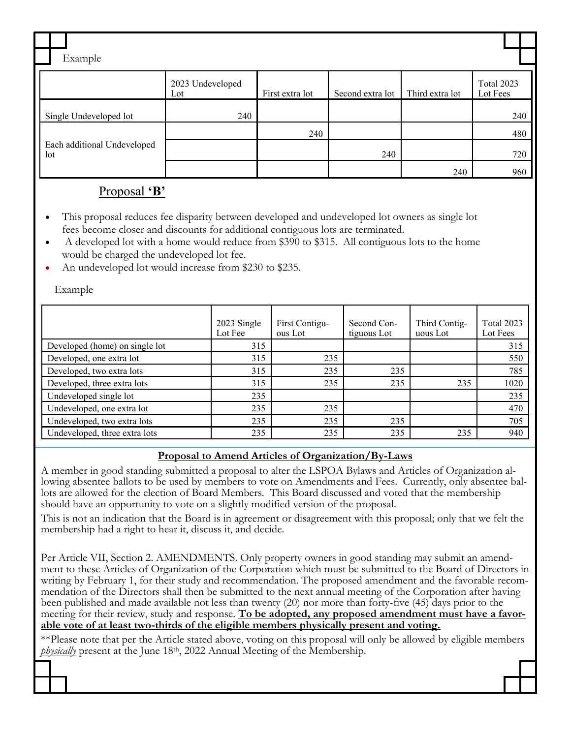| Example                            |                         |                 |                  |                 |                               |  |
|------------------------------------|-------------------------|-----------------|------------------|-----------------|-------------------------------|--|
|                                    | 2023 Undeveloped<br>Lot | First extra lot | Second extra lot | Third extra lot | <b>Total 2023</b><br>Lot Fees |  |
| Single Undeveloped lot             | 240                     |                 |                  |                 | 240                           |  |
|                                    |                         | 240             |                  |                 | 480                           |  |
| Each additional Undeveloped<br>lot |                         |                 | 240              |                 | 720                           |  |
|                                    |                         |                 |                  | 240             | 960                           |  |

### Proposal **'B'**

- This proposal reduces fee disparity between developed and undeveloped lot owners as single lot fees become closer and discounts for additional contiguous lots are terminated.
- A developed lot with a home would reduce from \$390 to \$315. All contiguous lots to the home would be charged the undeveloped lot fee.
- An undeveloped lot would increase from \$230 to \$235.

Example

|                                | 2023 Single<br>Lot Fee | First Contigu-<br>ous Lot | Second Con-<br>tiguous Lot | Third Contig-<br>uous Lot | <b>Total 2023</b><br>Lot Fees |
|--------------------------------|------------------------|---------------------------|----------------------------|---------------------------|-------------------------------|
| Developed (home) on single lot | 315                    |                           |                            |                           | 315                           |
| Developed, one extra lot       | 315                    | 235                       |                            |                           | 550                           |
| Developed, two extra lots      | 315                    | 235                       | 235                        |                           | 785                           |
| Developed, three extra lots    | 315                    | 235                       | 235                        | 235                       | 1020                          |
| Undeveloped single lot         | 235                    |                           |                            |                           | 235                           |
| Undeveloped, one extra lot     | 235                    | 235                       |                            |                           | 470                           |
| Undeveloped, two extra lots    | 235                    | 235                       | 235                        |                           | 705                           |
| Undeveloped, three extra lots  | 235                    | 235                       | 235                        | 235                       | 940                           |

#### **Proposal to Amend Articles of Organization/By-Laws**

A member in good standing submitted a proposal to alter the LSPOA Bylaws and Articles of Organization allowing absentee ballots to be used by members to vote on Amendments and Fees. Currently, only absentee ballots are allowed for the election of Board Members. This Board discussed and voted that the membership should have an opportunity to vote on a slightly modified version of the proposal.

This is not an indication that the Board is in agreement or disagreement with this proposal; only that we felt the membership had a right to hear it, discuss it, and decide.

Per Article VII, Section 2. AMENDMENTS. Only property owners in good standing may submit an amendment to these Articles of Organization of the Corporation which must be submitted to the Board of Directors in writing by February 1, for their study and recommendation. The proposed amendment and the favorable recommendation of the Directors shall then be submitted to the next annual meeting of the Corporation after having been published and made available not less than twenty (20) nor more than forty-five (45) days prior to the meeting for their review, study and response. **To be adopted, any proposed amendment must have a favorable vote of at least two-thirds of the eligible members physically present and voting.**

\*\*Please note that per the Article stated above, voting on this proposal will only be allowed by eligible members *physically* present at the June 18<sup>th</sup>, 2022 Annual Meeting of the Membership.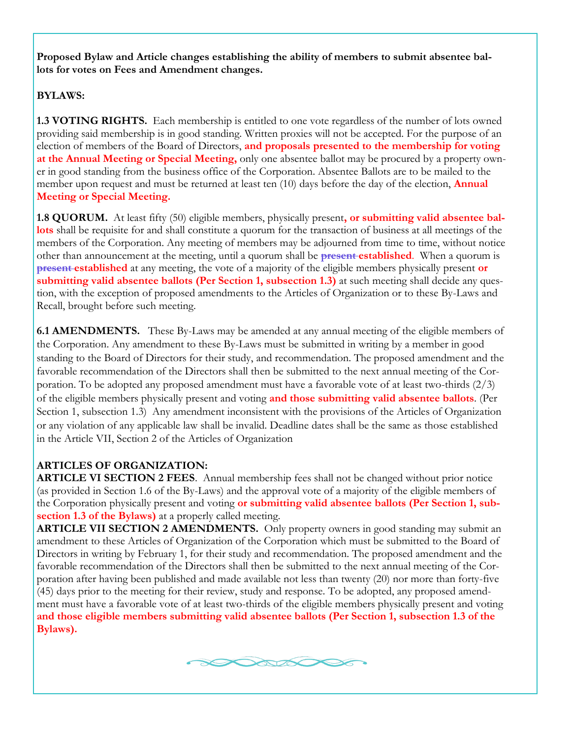**Proposed Bylaw and Article changes establishing the ability of members to submit absentee ballots for votes on Fees and Amendment changes.**

#### **BYLAWS:**

**1.3 VOTING RIGHTS.** Each membership is entitled to one vote regardless of the number of lots owned providing said membership is in good standing. Written proxies will not be accepted. For the purpose of an election of members of the Board of Directors, **and proposals presented to the membership for voting at the Annual Meeting or Special Meeting,** only one absentee ballot may be procured by a property owner in good standing from the business office of the Corporation. Absentee Ballots are to be mailed to the member upon request and must be returned at least ten (10) days before the day of the election, **Annual Meeting or Special Meeting.**

**1.8 QUORUM.** At least fifty (50) eligible members, physically present**, or submitting valid absentee ballots** shall be requisite for and shall constitute a quorum for the transaction of business at all meetings of the members of the Corporation. Any meeting of members may be adjourned from time to time, without notice other than announcement at the meeting, until a quorum shall be **present established**. When a quorum is **present established** at any meeting, the vote of a majority of the eligible members physically present **or submitting valid absentee ballots (Per Section 1, subsection 1.3)** at such meeting shall decide any question, with the exception of proposed amendments to the Articles of Organization or to these By-Laws and Recall, brought before such meeting.

**6.1 AMENDMENTS.** These By-Laws may be amended at any annual meeting of the eligible members of the Corporation. Any amendment to these By-Laws must be submitted in writing by a member in good standing to the Board of Directors for their study, and recommendation. The proposed amendment and the favorable recommendation of the Directors shall then be submitted to the next annual meeting of the Corporation. To be adopted any proposed amendment must have a favorable vote of at least two-thirds (2/3) of the eligible members physically present and voting **and those submitting valid absentee ballots**. (Per Section 1, subsection 1.3) Any amendment inconsistent with the provisions of the Articles of Organization or any violation of any applicable law shall be invalid. Deadline dates shall be the same as those established in the Article VII, Section 2 of the Articles of Organization

#### **ARTICLES OF ORGANIZATION:**

**ARTICLE VI SECTION 2 FEES.** Annual membership fees shall not be changed without prior notice (as provided in Section 1.6 of the By-Laws) and the approval vote of a majority of the eligible members of the Corporation physically present and voting **or submitting valid absentee ballots (Per Section 1, subsection 1.3 of the Bylaws)** at a properly called meeting.

**ARTICLE VII SECTION 2 AMENDMENTS.** Only property owners in good standing may submit an amendment to these Articles of Organization of the Corporation which must be submitted to the Board of Directors in writing by February 1, for their study and recommendation. The proposed amendment and the favorable recommendation of the Directors shall then be submitted to the next annual meeting of the Corporation after having been published and made available not less than twenty (20) nor more than forty-five (45) days prior to the meeting for their review, study and response. To be adopted, any proposed amendment must have a favorable vote of at least two-thirds of the eligible members physically present and voting **and those eligible members submitting valid absentee ballots (Per Section 1, subsection 1.3 of the Bylaws).**

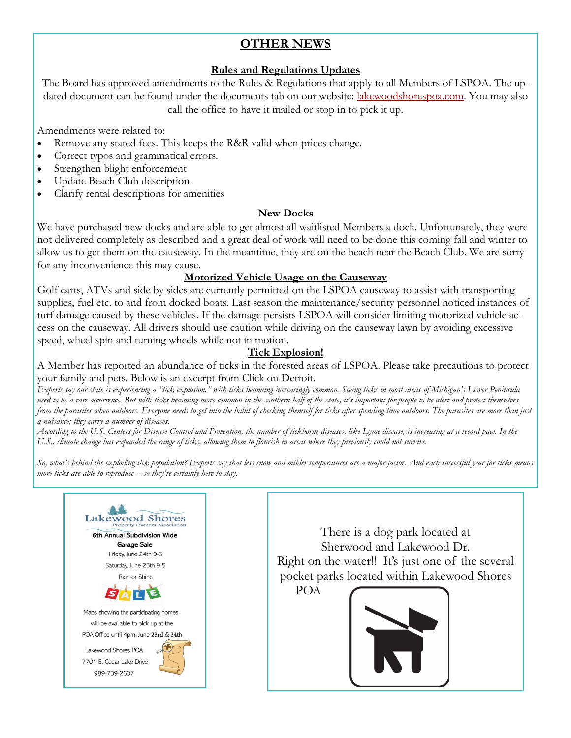## **OTHER NEWS**

#### **Rules and Regulations Updates**

The Board has approved amendments to the Rules & Regulations that apply to all Members of LSPOA. The updated document can be found under the documents tab on our website: [lakewoodshorespoa.com.](file:///C:/Users/Reception/Documents/lakewoodshorespoa.com) You may also call the office to have it mailed or stop in to pick it up.

Amendments were related to:

- Remove any stated fees. This keeps the R&R valid when prices change.
- Correct typos and grammatical errors.
- Strengthen blight enforcement
- Update Beach Club description
- Clarify rental descriptions for amenities

#### **New Docks**

We have purchased new docks and are able to get almost all waitlisted Members a dock. Unfortunately, they were not delivered completely as described and a great deal of work will need to be done this coming fall and winter to allow us to get them on the causeway. In the meantime, they are on the beach near the Beach Club. We are sorry for any inconvenience this may cause.

#### **Motorized Vehicle Usage on the Causeway**

Golf carts, ATVs and side by sides are currently permitted on the LSPOA causeway to assist with transporting supplies, fuel etc. to and from docked boats. Last season the maintenance/security personnel noticed instances of turf damage caused by these vehicles. If the damage persists LSPOA will consider limiting motorized vehicle access on the causeway. All drivers should use caution while driving on the causeway lawn by avoiding excessive speed, wheel spin and turning wheels while not in motion.

#### **Tick Explosion!**

A Member has reported an abundance of ticks in the forested areas of LSPOA. Please take precautions to protect your family and pets. Below is an excerpt from Click on Detroit.

*Experts say our state is experiencing a "tick explosion," with ticks becoming increasingly common. Seeing ticks in most areas of Michigan's Lower Peninsula used to be a rare occurrence. But with [ticks becoming more common](https://www.clickondetroit.com/health/good-health/2021/05/19/tick-risk-now-widespread-in-michigan/) in the southern half of the state, it's important for people to be alert and protect themselves from the parasites when outdoors. Everyone needs to get into the habit of checking themself for ticks after spending time outdoors. The parasites are more than just a nuisance; they carry a number of diseases.*

*According to the U.S. Centers for Disease Control and Prevention, the number of tickborne diseases, like Lyme disease, is increasing at a record pace. In the U.S., climate change has expanded the range of ticks, allowing them to flourish in areas where they previously could not survive.*

*So, what's behind the exploding tick population? Experts say that less snow and milder temperatures are a major factor. And each successful year for ticks means more ticks are able to reproduce -- so they're certainly here to stay.*



There is a dog park located at Sherwood and Lakewood Dr. Right on the water!! It's just one of the several pocket parks located within Lakewood Shores



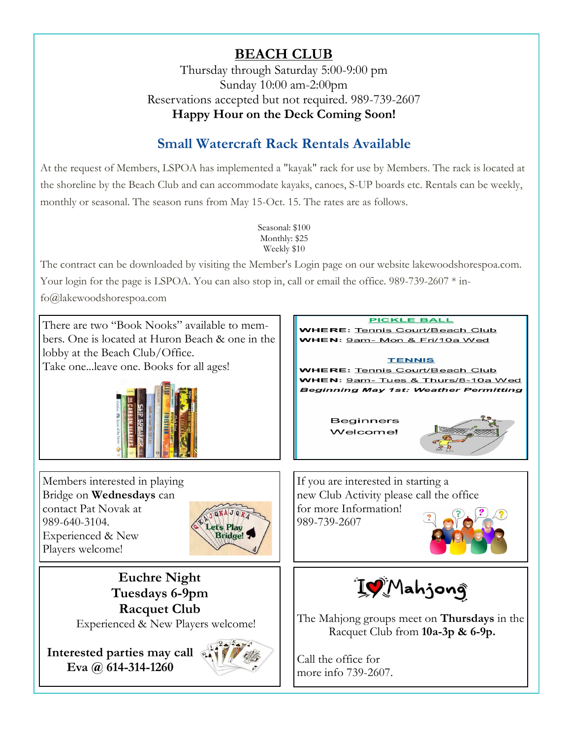# **BEACH CLUB**

Thursday through Saturday 5:00-9:00 pm Sunday 10:00 am-2:00pm Reservations accepted but not required. 989-739-2607 **Happy Hour on the Deck Coming Soon!**

# **Small Watercraft Rack Rentals Available**

At the request of Members, LSPOA has implemented a "kayak" rack for use by Members. The rack is located at the shoreline by the Beach Club and can accommodate kayaks, canoes, S-UP boards etc. Rentals can be weekly, monthly or seasonal. The season runs from May 15-Oct. 15. The rates are as follows.

> Seasonal: \$100 Monthly: \$25 Weekly \$10

The contract can be downloaded by visiting the Member's Login page on our website lakewoodshorespoa.com.

Your login for the page is LSPOA. You can also stop in, call or email the office. 989-739-2607 \* in-

fo@lakewoodshorespoa.com

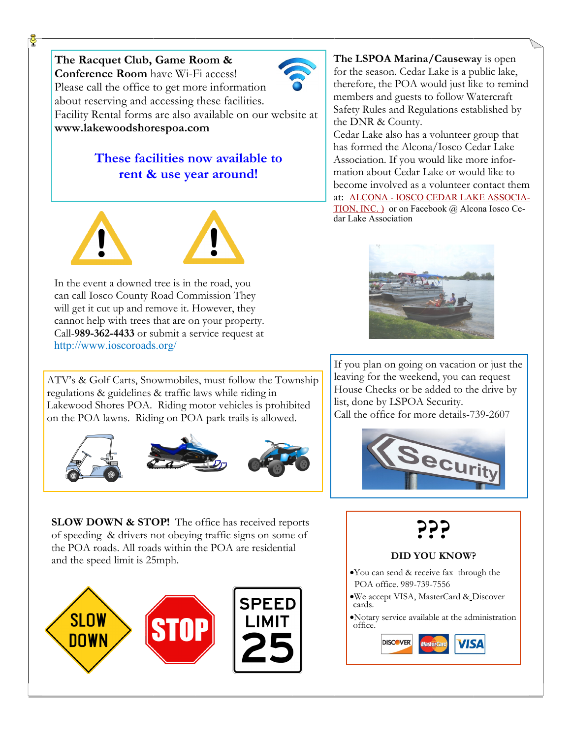**The Racquet Club, Game Room & Conference Room** have Wi-Fi access! Please call the office to get more information about reserving and accessing these facilities. Facility Rental forms are also available on our website at **www.lakewoodshorespoa.com** 

# **These facilities now available to rent & use year around!**



In the event a downed tree is in the road, you can call Iosco County Road Commission They will get it cut up and remove it. However, they cannot help with trees that are on your property. Call-**989-362-4433** or submit a service request at http://www.ioscoroads.org/

ATV's & Golf Carts, Snowmobiles, must follow the Township regulations & guidelines & traffic laws while riding in Lakewood Shores POA. Riding motor vehicles is prohibited on the POA lawns. Riding on POA park trails is allowed.



**SLOW DOWN & STOP!** The office has received reports of speeding & drivers not obeying traffic signs on some of the POA roads. All roads within the POA are residential and the speed limit is 25mph.



**The LSPOA Marina/Causeway** is open for the season. Cedar Lake is a public lake, therefore, the POA would just like to remind members and guests to follow Watercraft Safety Rules and Regulations established by the DNR & County.

Cedar Lake also has a volunteer group that has formed the Alcona/Iosco Cedar Lake Association. If you would like more information about Cedar Lake or would like to become involved as a volunteer contact them at: ALCONA - [IOSCO CEDAR LAKE ASSOCIA-](https://michigan-company.com/co/alcona-iosco-cedar-lake-association-inc)[TION, INC. \)](https://michigan-company.com/co/alcona-iosco-cedar-lake-association-inc) or on Facebook @ Alcona Iosco Cedar Lake Association



If you plan on going on vacation or just the leaving for the weekend, you can request House Checks or be added to the drive by list, done by LSPOA Security. Call the office for more details-739-2607



**???**

#### **DID YOU KNOW?**

- •You can send & receive fax through the POA office. 989-739-7556
- •We accept VISA, MasterCard & Discover cards.
- •Notary service available at the administration office.